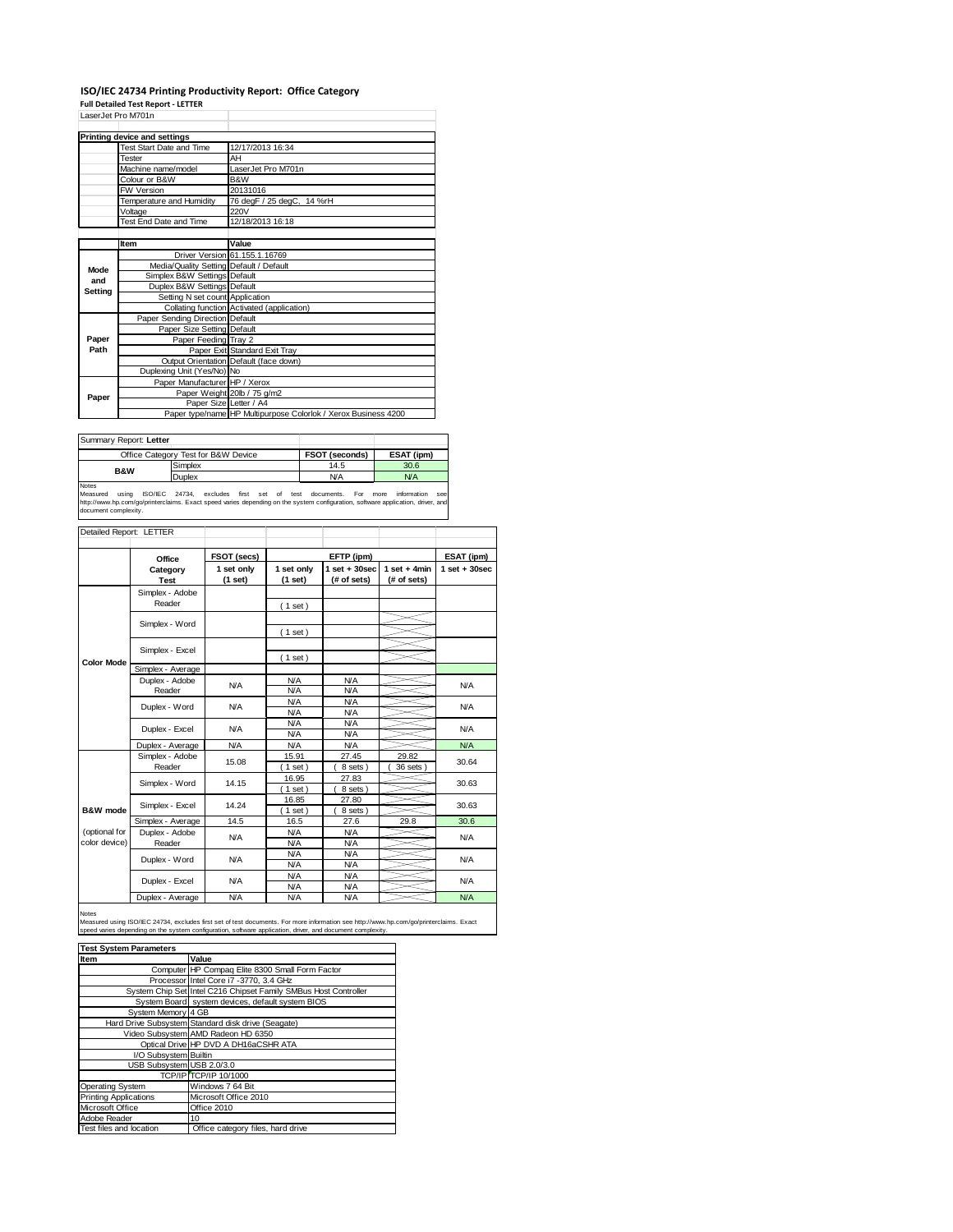## **ISO/IEC 24734 Printing Productivity Report: Office Category Full Detailed Test Report ‐ LETTER**

| LaserJet Pro M701n            |                                         |                                                                |  |  |  |
|-------------------------------|-----------------------------------------|----------------------------------------------------------------|--|--|--|
|                               | Printing device and settings            |                                                                |  |  |  |
|                               | Test Start Date and Time                | 12/17/2013 16:34                                               |  |  |  |
|                               | Tester                                  | AH                                                             |  |  |  |
|                               | Machine name/model                      | LaserJet Pro M701n                                             |  |  |  |
|                               | Colour or B&W                           | B&W                                                            |  |  |  |
|                               | <b>FW Version</b>                       | 20131016                                                       |  |  |  |
|                               | Temperature and Humidity                | 76 degF / 25 degC, 14 %rH                                      |  |  |  |
|                               | Voltage                                 | 220V                                                           |  |  |  |
|                               | Test End Date and Time                  | 12/18/2013 16:18                                               |  |  |  |
|                               |                                         |                                                                |  |  |  |
|                               | <b>Item</b>                             | Value                                                          |  |  |  |
|                               |                                         | Driver Version 61.155.1.16769                                  |  |  |  |
| Mode                          | Media/Quality Setting Default / Default |                                                                |  |  |  |
| and                           | Simplex B&W Settings Default            |                                                                |  |  |  |
| Setting                       | Duplex B&W Settings Default             |                                                                |  |  |  |
|                               | Setting N set count Application         |                                                                |  |  |  |
|                               |                                         | Collating function Activated (application)                     |  |  |  |
|                               | Paper Sending Direction Default         |                                                                |  |  |  |
|                               | Paper Size Setting Default              |                                                                |  |  |  |
| Paper<br>Paper Feeding Tray 2 |                                         |                                                                |  |  |  |
| Path                          |                                         | Paper Exit Standard Exit Tray                                  |  |  |  |
|                               |                                         | Output Orientation Default (face down)                         |  |  |  |
|                               | Duplexing Unit (Yes/No) No              |                                                                |  |  |  |
| Paper                         | Paper Manufacturer HP / Xerox           |                                                                |  |  |  |
|                               |                                         | Paper Weight 20lb / 75 g/m2                                    |  |  |  |
|                               | Paper Size Letter / A4                  |                                                                |  |  |  |
|                               |                                         | Paper type/name HP Multipurpose Colorlok / Xerox Business 4200 |  |  |  |

| Summary Report: Letter              |         |                       |            |
|-------------------------------------|---------|-----------------------|------------|
| Office Category Test for B&W Device |         | <b>FSOT (seconds)</b> | ESAT (ipm) |
| <b>B&amp;W</b>                      | Simplex | 14.5                  | 30.6       |
|                                     | Duplex  | <b>N/A</b>            | N/A        |
| Notes                               |         |                       |            |

Notes<br>Measured using ISO/IEC 24734, excludes first set of test documents. For more information see<br>http://www.hp.com/go/printerclaims.Exactspeed-varies-depending.on.the.system.configuration,software.application,driver,and<br>

| Detailed Report: LETTER        |                           |                       |                          |                                  |                               |                  |
|--------------------------------|---------------------------|-----------------------|--------------------------|----------------------------------|-------------------------------|------------------|
|                                | Office                    | FSOT (secs)           |                          | EFTP (ipm)                       |                               | ESAT (ipm)       |
|                                | Category<br><b>Test</b>   | 1 set only<br>(1 set) | 1 set only<br>(1 set)    | $1$ set $+30$ sec<br>(# of sets) | $1$ set + 4min<br>(# of sets) | $1 set + 30 sec$ |
|                                | Simplex - Adobe<br>Reader |                       | (1 set)                  |                                  |                               |                  |
|                                | Simplex - Word            |                       | $1$ set)                 |                                  |                               |                  |
|                                | Simplex - Excel           |                       |                          |                                  |                               |                  |
| <b>Color Mode</b>              | Simplex - Average         |                       | $1$ set)                 |                                  |                               |                  |
|                                | Duplex - Adobe<br>Reader  | N/A                   | <b>N/A</b><br>N/A        | N/A<br>N/A                       |                               | N/A              |
|                                | Duplex - Word             | <b>N/A</b>            | N/A<br>N/A               | <b>N/A</b><br><b>N/A</b>         |                               | N/A              |
|                                | Duplex - Excel            | <b>N/A</b>            | <b>N/A</b><br><b>N/A</b> | <b>N/A</b><br><b>N/A</b>         |                               | N/A              |
|                                | Duplex - Average          | <b>N/A</b>            | <b>N/A</b>               | <b>N/A</b>                       |                               | N/A              |
|                                | Simplex - Adobe<br>Reader | 15.08                 | 15.91<br>$1$ set         | 27.45<br>8 sets )                | 29.82<br>36 sets              | 30.64            |
|                                | Simplex - Word            | 14.15                 | 16.95<br>$1$ set)        | 27.83<br>8 sets)                 |                               | 30.63            |
| B&W mode                       | Simplex - Excel           | 14.24                 | 16.85<br>$1$ set)        | 27.80<br>8 sets)                 |                               | 30.63            |
|                                | Simplex - Average         | 14.5                  | 16.5                     | 27.6                             | 29.8                          | 30.6             |
| (optional for<br>color device) | Duplex - Adobe<br>Reader  | <b>N/A</b>            | <b>N/A</b><br><b>N/A</b> | <b>N/A</b><br><b>N/A</b>         |                               | N/A              |
|                                | Duplex - Word             | N/A                   | <b>N/A</b><br><b>N/A</b> | <b>N/A</b><br><b>N/A</b>         |                               | N/A              |
|                                | Duplex - Excel            | <b>N/A</b>            | <b>N/A</b><br><b>N/A</b> | <b>N/A</b><br><b>N/A</b>         |                               | <b>N/A</b>       |
|                                | Duplex - Average          | N/A                   | N/A                      | N/A                              |                               | N/A              |

Notes

Measured using ISO/IEC 24734, excludes first set of test documents. For more information see http://www.hp.com/go/printerclaims. Exact<br>speed varies depending on the system configuration, software application, driver, and d

| <b>Test System Parameters</b> |                                                                 |  |  |  |
|-------------------------------|-----------------------------------------------------------------|--|--|--|
| Item                          | Value                                                           |  |  |  |
|                               | Computer HP Compaq Elite 8300 Small Form Factor                 |  |  |  |
|                               | Processor Intel Core i7 -3770, 3.4 GHz                          |  |  |  |
|                               | System Chip Set Intel C216 Chipset Family SMBus Host Controller |  |  |  |
|                               | System Board system devices, default system BIOS                |  |  |  |
| System Memory 4 GB            |                                                                 |  |  |  |
|                               | Hard Drive Subsystem Standard disk drive (Seagate)              |  |  |  |
|                               | Video Subsystem AMD Radeon HD 6350                              |  |  |  |
|                               | Optical Drive HP DVD A DH16aCSHR ATA                            |  |  |  |
| I/O Subsystem Builtin         |                                                                 |  |  |  |
| USB Subsystem USB 2.0/3.0     |                                                                 |  |  |  |
|                               | <b>TCP/IP TCP/IP 10/1000</b>                                    |  |  |  |
| <b>Operating System</b>       | Windows 7 64 Bit                                                |  |  |  |
| <b>Printing Applications</b>  | Microsoft Office 2010                                           |  |  |  |
| Microsoft Office              | Office 2010                                                     |  |  |  |
| Adobe Reader                  | 10                                                              |  |  |  |
| Test files and location       | Office category files, hard drive                               |  |  |  |